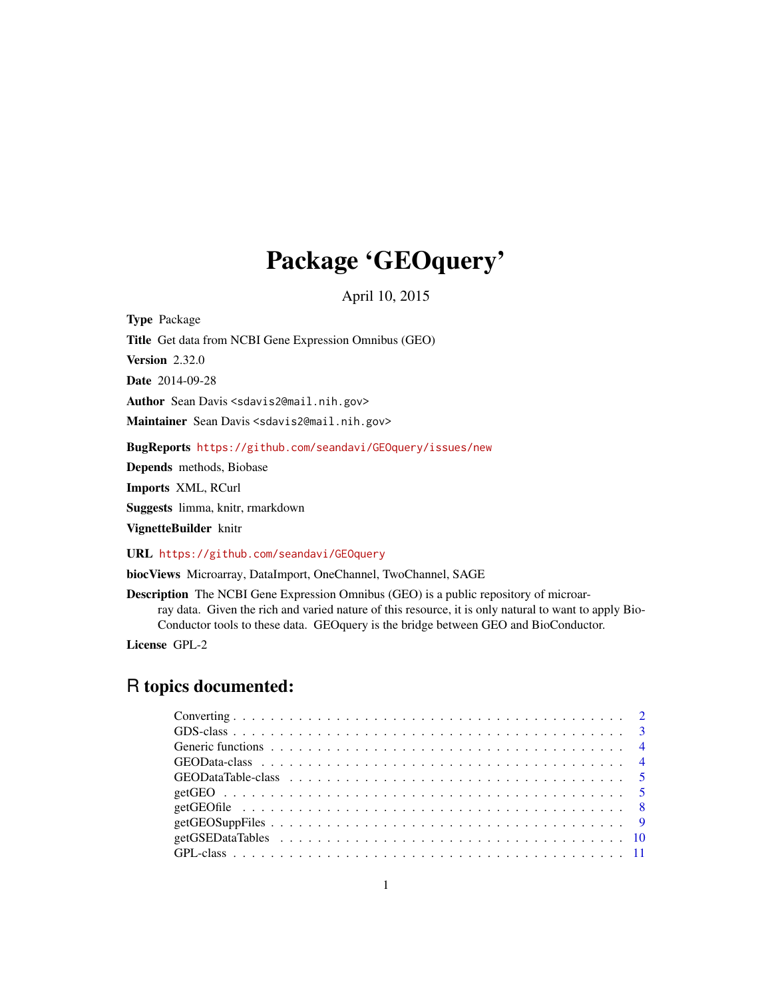## Package 'GEOquery'

April 10, 2015

<span id="page-0-0"></span>Type Package Title Get data from NCBI Gene Expression Omnibus (GEO) Version 2.32.0 Date 2014-09-28 Author Sean Davis <sdavis2@mail.nih.gov> Maintainer Sean Davis <sdavis2@mail.nih.gov> BugReports <https://github.com/seandavi/GEOquery/issues/new> Depends methods, Biobase

Imports XML, RCurl

Suggests limma, knitr, rmarkdown

VignetteBuilder knitr

URL <https://github.com/seandavi/GEOquery>

biocViews Microarray, DataImport, OneChannel, TwoChannel, SAGE

Description The NCBI Gene Expression Omnibus (GEO) is a public repository of microarray data. Given the rich and varied nature of this resource, it is only natural to want to apply Bio-Conductor tools to these data. GEOquery is the bridge between GEO and BioConductor.

License GPL-2

### R topics documented: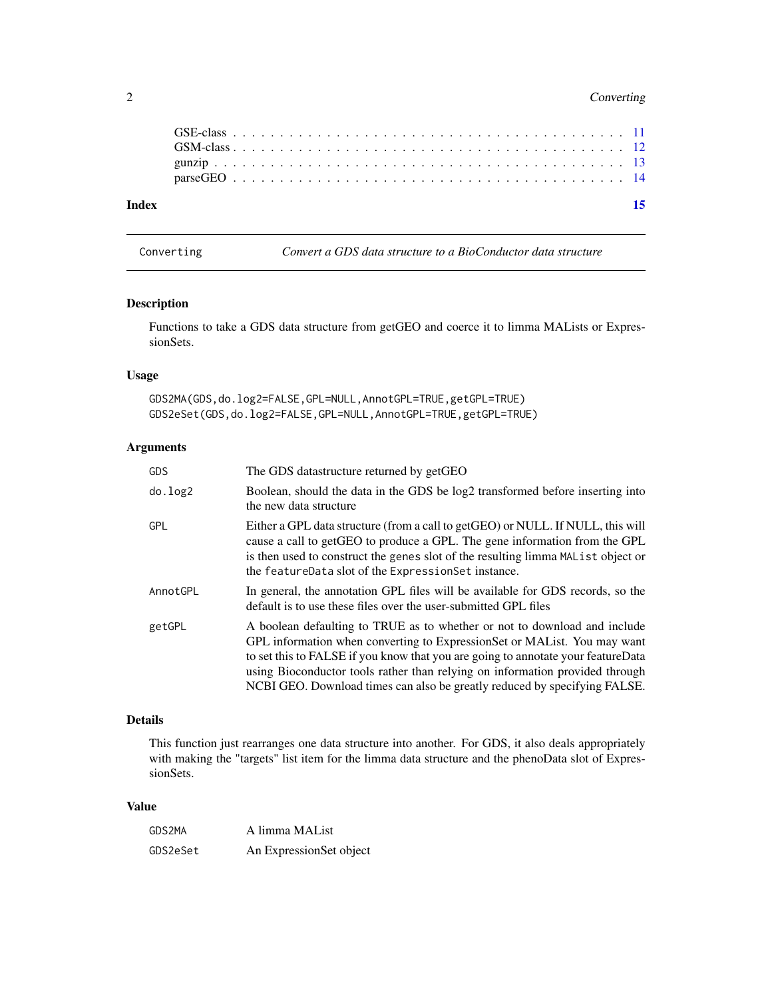#### <span id="page-1-0"></span>2 Converting

| Index |  |  |  |  |  |  |  |  |  |  |  |  |  |  |  |  |  |  |  |  | 15 |
|-------|--|--|--|--|--|--|--|--|--|--|--|--|--|--|--|--|--|--|--|--|----|
|       |  |  |  |  |  |  |  |  |  |  |  |  |  |  |  |  |  |  |  |  |    |
|       |  |  |  |  |  |  |  |  |  |  |  |  |  |  |  |  |  |  |  |  |    |
|       |  |  |  |  |  |  |  |  |  |  |  |  |  |  |  |  |  |  |  |  |    |
|       |  |  |  |  |  |  |  |  |  |  |  |  |  |  |  |  |  |  |  |  |    |
|       |  |  |  |  |  |  |  |  |  |  |  |  |  |  |  |  |  |  |  |  |    |

Converting *Convert a GDS data structure to a BioConductor data structure*

#### Description

Functions to take a GDS data structure from getGEO and coerce it to limma MALists or ExpressionSets.

#### Usage

GDS2MA(GDS,do.log2=FALSE,GPL=NULL,AnnotGPL=TRUE,getGPL=TRUE) GDS2eSet(GDS,do.log2=FALSE,GPL=NULL,AnnotGPL=TRUE,getGPL=TRUE)

#### Arguments

| GDS        | The GDS datastructure returned by getGEO                                                                                                                                                                                                                                                                                                                                                                |
|------------|---------------------------------------------------------------------------------------------------------------------------------------------------------------------------------------------------------------------------------------------------------------------------------------------------------------------------------------------------------------------------------------------------------|
| do.log2    | Boolean, should the data in the GDS be log2 transformed before inserting into<br>the new data structure                                                                                                                                                                                                                                                                                                 |
| <b>GPL</b> | Either a GPL data structure (from a call to getGEO) or NULL. If NULL, this will<br>cause a call to getGEO to produce a GPL. The gene information from the GPL<br>is then used to construct the genes slot of the resulting limma MAList object or<br>the feature Data slot of the Expression Set instance.                                                                                              |
| AnnotGPL   | In general, the annotation GPL files will be available for GDS records, so the<br>default is to use these files over the user-submitted GPL files                                                                                                                                                                                                                                                       |
| getGPL     | A boolean defaulting to TRUE as to whether or not to download and include<br>GPL information when converting to ExpressionSet or MAList. You may want<br>to set this to FALSE if you know that you are going to annotate your feature Data<br>using Bioconductor tools rather than relying on information provided through<br>NCBI GEO. Download times can also be greatly reduced by specifying FALSE. |

#### Details

This function just rearranges one data structure into another. For GDS, it also deals appropriately with making the "targets" list item for the limma data structure and the phenoData slot of ExpressionSets.

#### Value

| GDS2MA   | A limma MAList          |
|----------|-------------------------|
| GDS2eSet | An ExpressionSet object |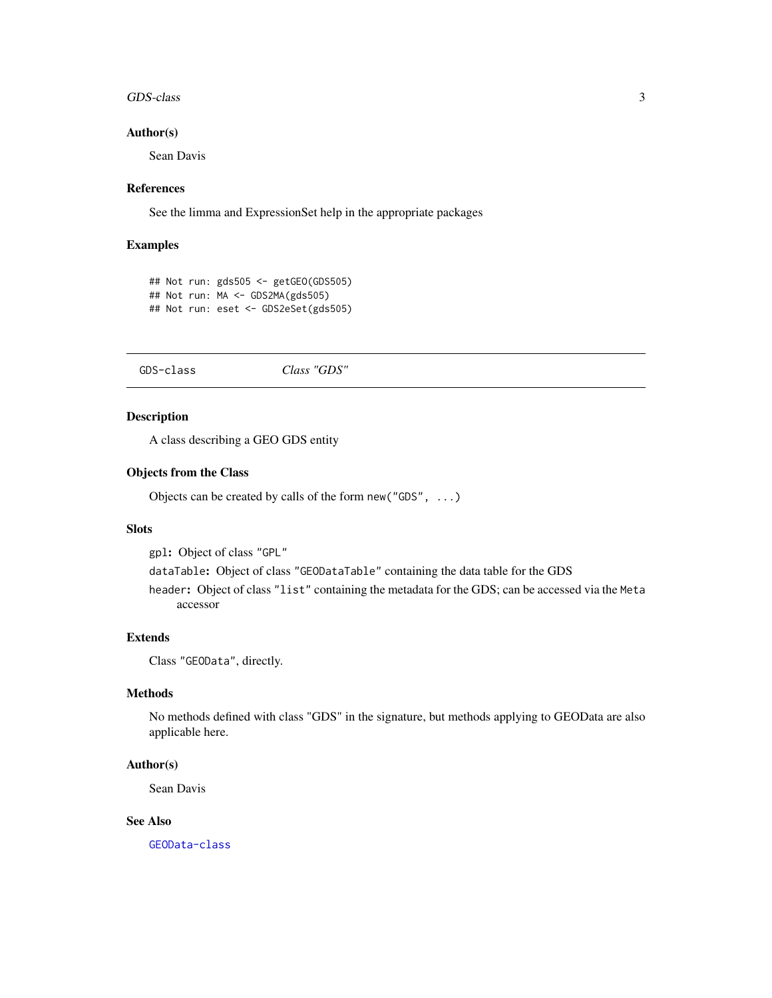#### <span id="page-2-0"></span>GDS-class 3

#### Author(s)

Sean Davis

#### References

See the limma and ExpressionSet help in the appropriate packages

#### Examples

```
## Not run: gds505 <- getGEO(GDS505)
## Not run: MA <- GDS2MA(gds505)
## Not run: eset <- GDS2eSet(gds505)
```
<span id="page-2-1"></span>GDS-class *Class "GDS"*

#### Description

A class describing a GEO GDS entity

#### Objects from the Class

Objects can be created by calls of the form new("GDS", ...)

#### **Slots**

gpl: Object of class "GPL"

dataTable: Object of class "GEODataTable" containing the data table for the GDS

header: Object of class "list" containing the metadata for the GDS; can be accessed via the Meta accessor

#### Extends

Class "GEOData", directly.

#### Methods

No methods defined with class "GDS" in the signature, but methods applying to GEOData are also applicable here.

#### Author(s)

Sean Davis

#### See Also

[GEOData-class](#page-3-1)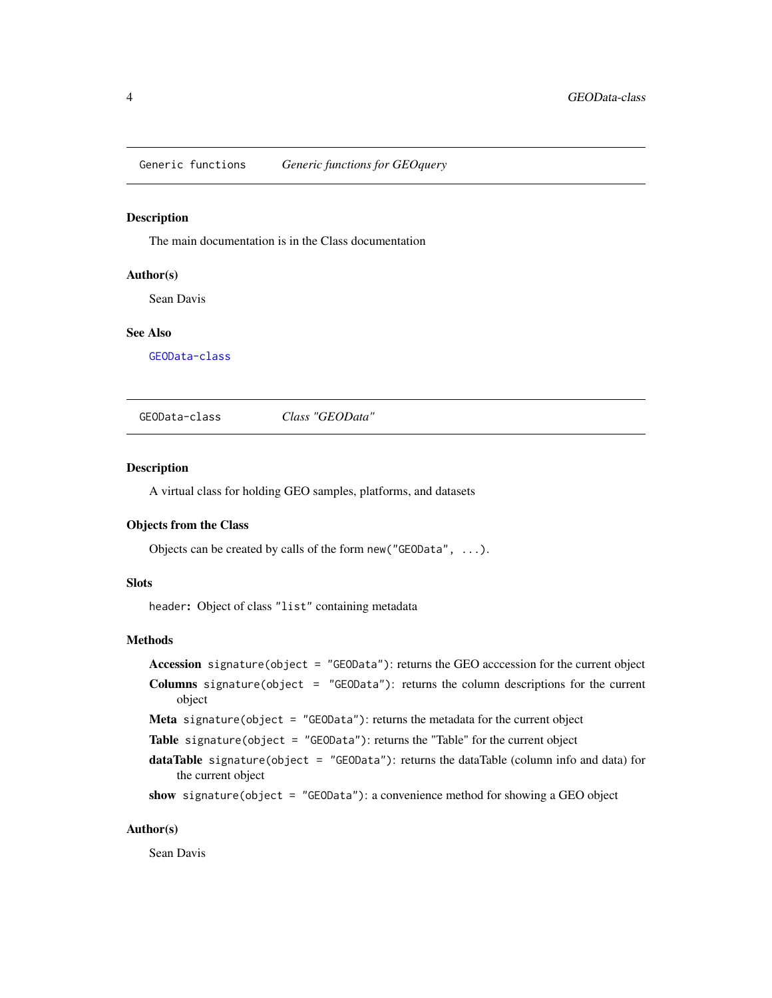<span id="page-3-0"></span>Generic functions *Generic functions for GEOquery*

#### Description

The main documentation is in the Class documentation

#### Author(s)

Sean Davis

#### See Also

[GEOData-class](#page-3-1)

<span id="page-3-1"></span>GEOData-class *Class "GEOData"*

#### Description

A virtual class for holding GEO samples, platforms, and datasets

#### Objects from the Class

Objects can be created by calls of the form new("GEOData", ...).

#### **Slots**

header: Object of class "list" containing metadata

#### Methods

```
Accession signature(object = "GEOData"): returns the GEO acccession for the current object
Columns signature(object = "GEOData"): returns the column descriptions for the current
    object
Meta signature(object = "GEOData"): returns the metadata for the current object
Table signature(object = "GEOData"): returns the "Table" for the current object
dataTable signature(object = "GEOData"): returns the dataTable (column info and data) for
    the current object
show signature(object = "GEOData"): a convenience method for showing a GEO object
```
#### Author(s)

Sean Davis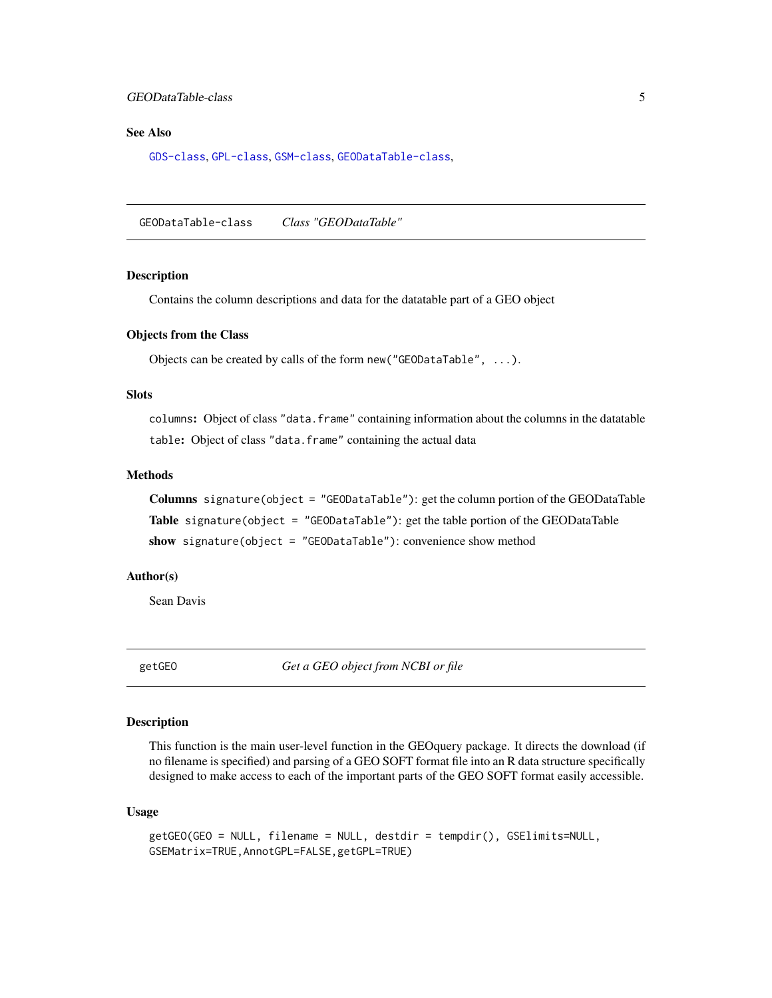#### <span id="page-4-0"></span>GEODataTable-class 5

#### See Also

[GDS-class](#page-2-1), [GPL-class](#page-10-1), [GSM-class](#page-11-1), [GEODataTable-class](#page-4-1),

<span id="page-4-1"></span>GEODataTable-class *Class "GEODataTable"*

#### Description

Contains the column descriptions and data for the datatable part of a GEO object

#### Objects from the Class

Objects can be created by calls of the form new("GEODataTable", ...).

#### Slots

columns: Object of class "data.frame" containing information about the columns in the datatable table: Object of class "data.frame" containing the actual data

#### Methods

Columns signature(object = "GEODataTable"): get the column portion of the GEODataTable Table signature(object = "GEODataTable"): get the table portion of the GEODataTable show signature(object = "GEODataTable"): convenience show method

#### Author(s)

Sean Davis

<span id="page-4-2"></span>getGEO *Get a GEO object from NCBI or file*

#### Description

This function is the main user-level function in the GEOquery package. It directs the download (if no filename is specified) and parsing of a GEO SOFT format file into an R data structure specifically designed to make access to each of the important parts of the GEO SOFT format easily accessible.

#### Usage

```
getGEO(GEO = NULL, filename = NULL, destdir = tempdir(), GSElimits=NULL,
GSEMatrix=TRUE,AnnotGPL=FALSE,getGPL=TRUE)
```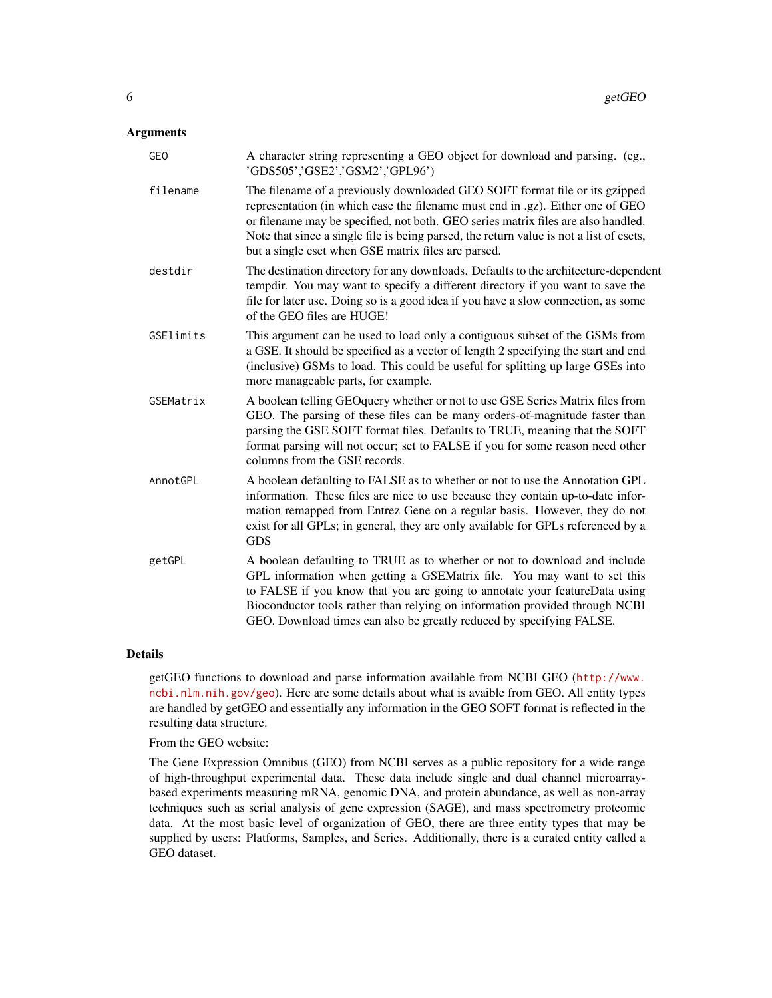#### Arguments

| GE <sub>0</sub> | A character string representing a GEO object for download and parsing. (eg.,<br>'GDS505','GSE2','GSM2','GPL96')                                                                                                                                                                                                                                                                                      |
|-----------------|------------------------------------------------------------------------------------------------------------------------------------------------------------------------------------------------------------------------------------------------------------------------------------------------------------------------------------------------------------------------------------------------------|
| filename        | The filename of a previously downloaded GEO SOFT format file or its gzipped<br>representation (in which case the filename must end in .gz). Either one of GEO<br>or filename may be specified, not both. GEO series matrix files are also handled.<br>Note that since a single file is being parsed, the return value is not a list of esets,<br>but a single eset when GSE matrix files are parsed. |
| destdir         | The destination directory for any downloads. Defaults to the architecture-dependent<br>tempdir. You may want to specify a different directory if you want to save the<br>file for later use. Doing so is a good idea if you have a slow connection, as some<br>of the GEO files are HUGE!                                                                                                            |
| GSElimits       | This argument can be used to load only a contiguous subset of the GSMs from<br>a GSE. It should be specified as a vector of length 2 specifying the start and end<br>(inclusive) GSMs to load. This could be useful for splitting up large GSEs into<br>more manageable parts, for example.                                                                                                          |
| GSEMatrix       | A boolean telling GEO query whether or not to use GSE Series Matrix files from<br>GEO. The parsing of these files can be many orders-of-magnitude faster than<br>parsing the GSE SOFT format files. Defaults to TRUE, meaning that the SOFT<br>format parsing will not occur; set to FALSE if you for some reason need other<br>columns from the GSE records.                                        |
| AnnotGPL        | A boolean defaulting to FALSE as to whether or not to use the Annotation GPL<br>information. These files are nice to use because they contain up-to-date infor-<br>mation remapped from Entrez Gene on a regular basis. However, they do not<br>exist for all GPLs; in general, they are only available for GPLs referenced by a<br><b>GDS</b>                                                       |
| getGPL          | A boolean defaulting to TRUE as to whether or not to download and include<br>GPL information when getting a GSEMatrix file. You may want to set this<br>to FALSE if you know that you are going to annotate your featureData using<br>Bioconductor tools rather than relying on information provided through NCBI<br>GEO. Download times can also be greatly reduced by specifying FALSE.            |

#### Details

getGEO functions to download and parse information available from NCBI GEO ([http://www.](http://www.ncbi.nlm.nih.gov/geo) [ncbi.nlm.nih.gov/geo](http://www.ncbi.nlm.nih.gov/geo)). Here are some details about what is avaible from GEO. All entity types are handled by getGEO and essentially any information in the GEO SOFT format is reflected in the resulting data structure.

From the GEO website:

The Gene Expression Omnibus (GEO) from NCBI serves as a public repository for a wide range of high-throughput experimental data. These data include single and dual channel microarraybased experiments measuring mRNA, genomic DNA, and protein abundance, as well as non-array techniques such as serial analysis of gene expression (SAGE), and mass spectrometry proteomic data. At the most basic level of organization of GEO, there are three entity types that may be supplied by users: Platforms, Samples, and Series. Additionally, there is a curated entity called a GEO dataset.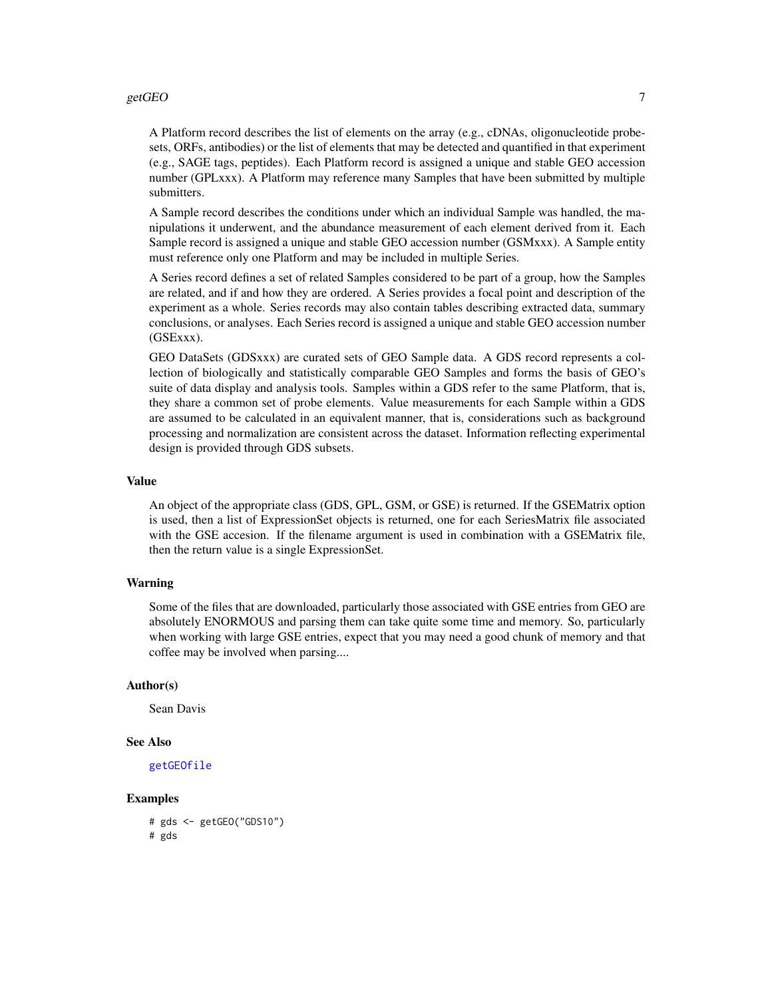#### getGEO 7 and 2008 and 2008 and 2008 and 2008 and 2008 and 2008 and 2008 and 2008 and 2008 and 2008 and 2008 and 2008 and 2008 and 2008 and 2008 and 2008 and 2008 and 2008 and 2008 and 2008 and 2008 and 2008 and 2008 and 20

A Platform record describes the list of elements on the array (e.g., cDNAs, oligonucleotide probesets, ORFs, antibodies) or the list of elements that may be detected and quantified in that experiment (e.g., SAGE tags, peptides). Each Platform record is assigned a unique and stable GEO accession number (GPLxxx). A Platform may reference many Samples that have been submitted by multiple submitters.

A Sample record describes the conditions under which an individual Sample was handled, the manipulations it underwent, and the abundance measurement of each element derived from it. Each Sample record is assigned a unique and stable GEO accession number (GSMxxx). A Sample entity must reference only one Platform and may be included in multiple Series.

A Series record defines a set of related Samples considered to be part of a group, how the Samples are related, and if and how they are ordered. A Series provides a focal point and description of the experiment as a whole. Series records may also contain tables describing extracted data, summary conclusions, or analyses. Each Series record is assigned a unique and stable GEO accession number (GSExxx).

GEO DataSets (GDSxxx) are curated sets of GEO Sample data. A GDS record represents a collection of biologically and statistically comparable GEO Samples and forms the basis of GEO's suite of data display and analysis tools. Samples within a GDS refer to the same Platform, that is, they share a common set of probe elements. Value measurements for each Sample within a GDS are assumed to be calculated in an equivalent manner, that is, considerations such as background processing and normalization are consistent across the dataset. Information reflecting experimental design is provided through GDS subsets.

#### Value

An object of the appropriate class (GDS, GPL, GSM, or GSE) is returned. If the GSEMatrix option is used, then a list of ExpressionSet objects is returned, one for each SeriesMatrix file associated with the GSE accesion. If the filename argument is used in combination with a GSEMatrix file, then the return value is a single ExpressionSet.

#### Warning

Some of the files that are downloaded, particularly those associated with GSE entries from GEO are absolutely ENORMOUS and parsing them can take quite some time and memory. So, particularly when working with large GSE entries, expect that you may need a good chunk of memory and that coffee may be involved when parsing....

#### Author(s)

Sean Davis

#### See Also

[getGEOfile](#page-7-1)

#### Examples

# gds <- getGEO("GDS10") # gds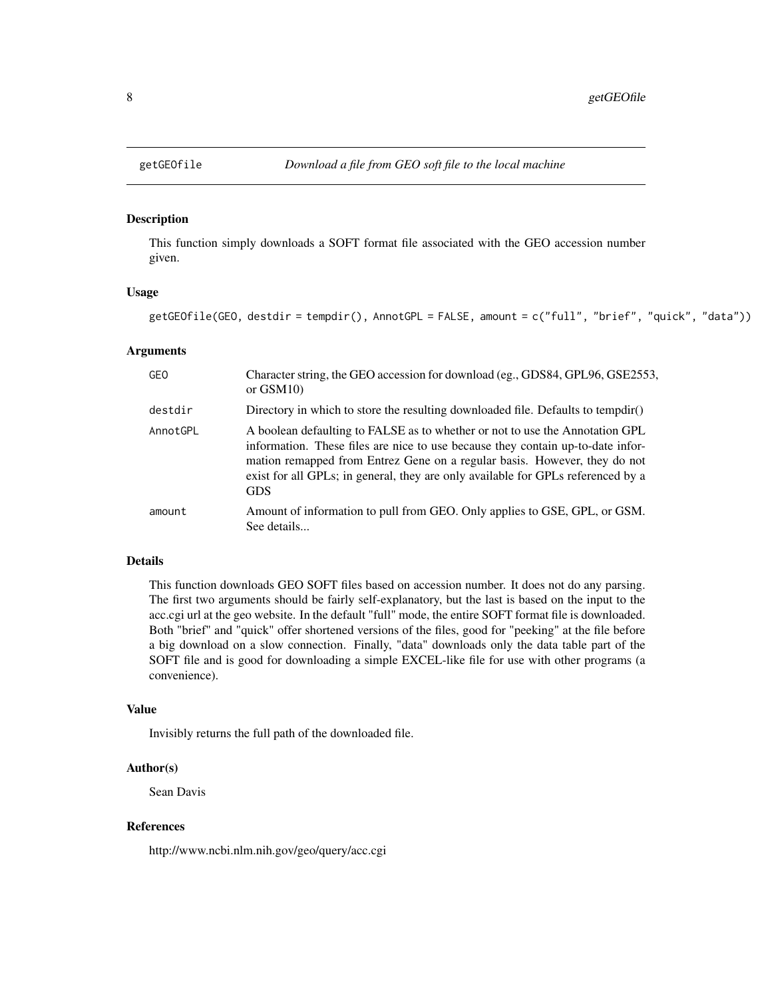This function simply downloads a SOFT format file associated with the GEO accession number given.

#### Usage

```
getGEOfile(GEO, destdir = tempdir(), AnnotGPL = FALSE, amount = c("full", "brief", "quick", "data"))
```
#### Arguments

| <b>GEO</b> | Character string, the GEO accession for download (eg., GDS84, GPL96, GSE2553,<br>or $GSM10$                                                                                                                                                                                                                                                    |
|------------|------------------------------------------------------------------------------------------------------------------------------------------------------------------------------------------------------------------------------------------------------------------------------------------------------------------------------------------------|
| destdir    | Directory in which to store the resulting downloaded file. Defaults to tempdir()                                                                                                                                                                                                                                                               |
| AnnotGPL   | A boolean defaulting to FALSE as to whether or not to use the Annotation GPL<br>information. These files are nice to use because they contain up-to-date infor-<br>mation remapped from Entrez Gene on a regular basis. However, they do not<br>exist for all GPLs; in general, they are only available for GPLs referenced by a<br><b>GDS</b> |
| amount     | Amount of information to pull from GEO. Only applies to GSE, GPL, or GSM.<br>See details                                                                                                                                                                                                                                                       |

#### Details

This function downloads GEO SOFT files based on accession number. It does not do any parsing. The first two arguments should be fairly self-explanatory, but the last is based on the input to the acc.cgi url at the geo website. In the default "full" mode, the entire SOFT format file is downloaded. Both "brief" and "quick" offer shortened versions of the files, good for "peeking" at the file before a big download on a slow connection. Finally, "data" downloads only the data table part of the SOFT file and is good for downloading a simple EXCEL-like file for use with other programs (a convenience).

#### Value

Invisibly returns the full path of the downloaded file.

#### Author(s)

Sean Davis

#### References

http://www.ncbi.nlm.nih.gov/geo/query/acc.cgi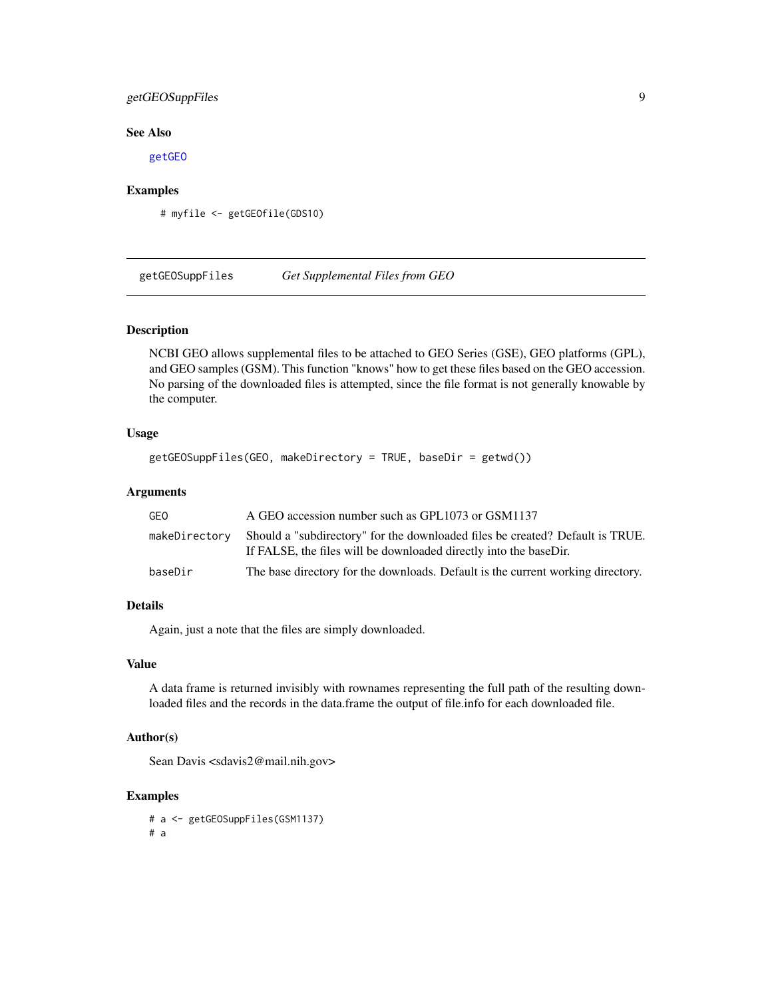#### <span id="page-8-0"></span>getGEOSuppFiles 9

#### See Also

[getGEO](#page-4-2)

#### Examples

# myfile <- getGEOfile(GDS10)

getGEOSuppFiles *Get Supplemental Files from GEO*

#### Description

NCBI GEO allows supplemental files to be attached to GEO Series (GSE), GEO platforms (GPL), and GEO samples (GSM). This function "knows" how to get these files based on the GEO accession. No parsing of the downloaded files is attempted, since the file format is not generally knowable by the computer.

#### Usage

```
getGEOSuppFiles(GEO, makeDirectory = TRUE, baseDir = getwd())
```
#### Arguments

| GEO           | A GEO accession number such as GPL1073 or GSM1137                                                                                                  |
|---------------|----------------------------------------------------------------------------------------------------------------------------------------------------|
| makeDirectory | Should a "subdirectory" for the downloaded files be created? Default is TRUE.<br>If FALSE, the files will be downloaded directly into the baseDir. |
| baseDir       | The base directory for the downloads. Default is the current working directory.                                                                    |

#### Details

Again, just a note that the files are simply downloaded.

#### Value

A data frame is returned invisibly with rownames representing the full path of the resulting downloaded files and the records in the data.frame the output of file.info for each downloaded file.

#### Author(s)

Sean Davis <sdavis2@mail.nih.gov>

#### Examples

# a <- getGEOSuppFiles(GSM1137) # a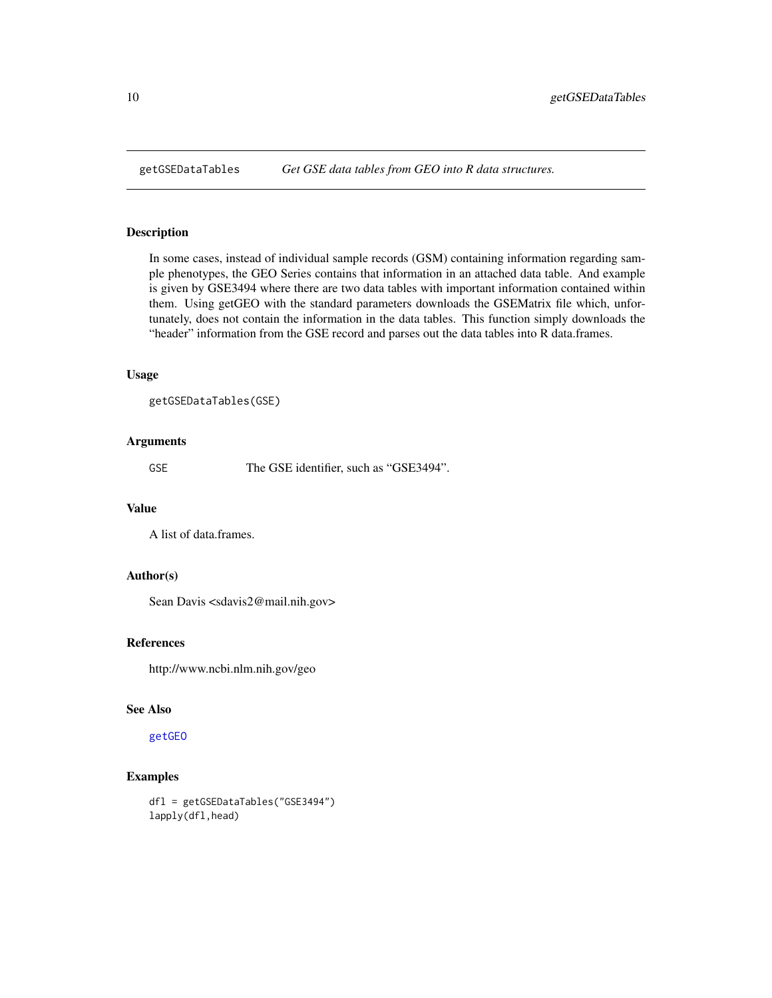<span id="page-9-0"></span>

In some cases, instead of individual sample records (GSM) containing information regarding sample phenotypes, the GEO Series contains that information in an attached data table. And example is given by GSE3494 where there are two data tables with important information contained within them. Using getGEO with the standard parameters downloads the GSEMatrix file which, unfortunately, does not contain the information in the data tables. This function simply downloads the "header" information from the GSE record and parses out the data tables into R data.frames.

#### Usage

```
getGSEDataTables(GSE)
```
#### Arguments

GSE The GSE identifier, such as "GSE3494".

#### Value

A list of data.frames.

#### Author(s)

Sean Davis <sdavis2@mail.nih.gov>

#### References

http://www.ncbi.nlm.nih.gov/geo

#### See Also

[getGEO](#page-4-2)

#### Examples

dfl = getGSEDataTables("GSE3494") lapply(dfl,head)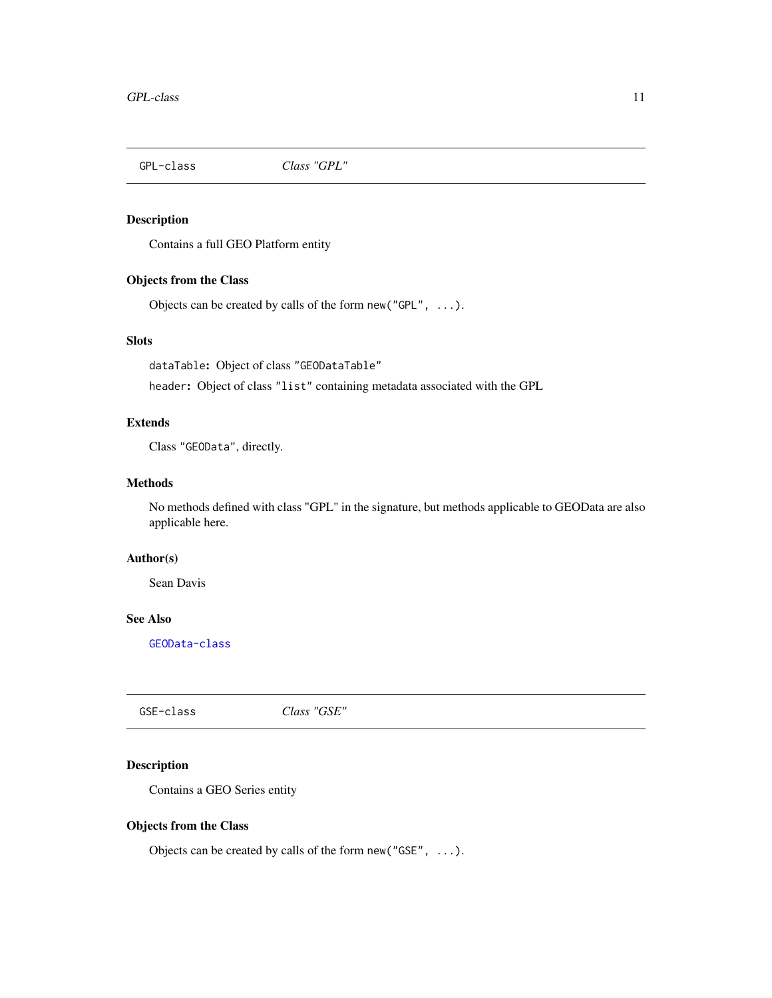<span id="page-10-1"></span><span id="page-10-0"></span>

Contains a full GEO Platform entity

#### Objects from the Class

Objects can be created by calls of the form new("GPL", ...).

#### Slots

dataTable: Object of class "GEODataTable"

header: Object of class "list" containing metadata associated with the GPL

#### Extends

Class "GEOData", directly.

#### **Methods**

No methods defined with class "GPL" in the signature, but methods applicable to GEOData are also applicable here.

#### Author(s)

Sean Davis

#### See Also

[GEOData-class](#page-3-1)

GSE-class *Class "GSE"*

#### Description

Contains a GEO Series entity

#### Objects from the Class

Objects can be created by calls of the form new("GSE", ...).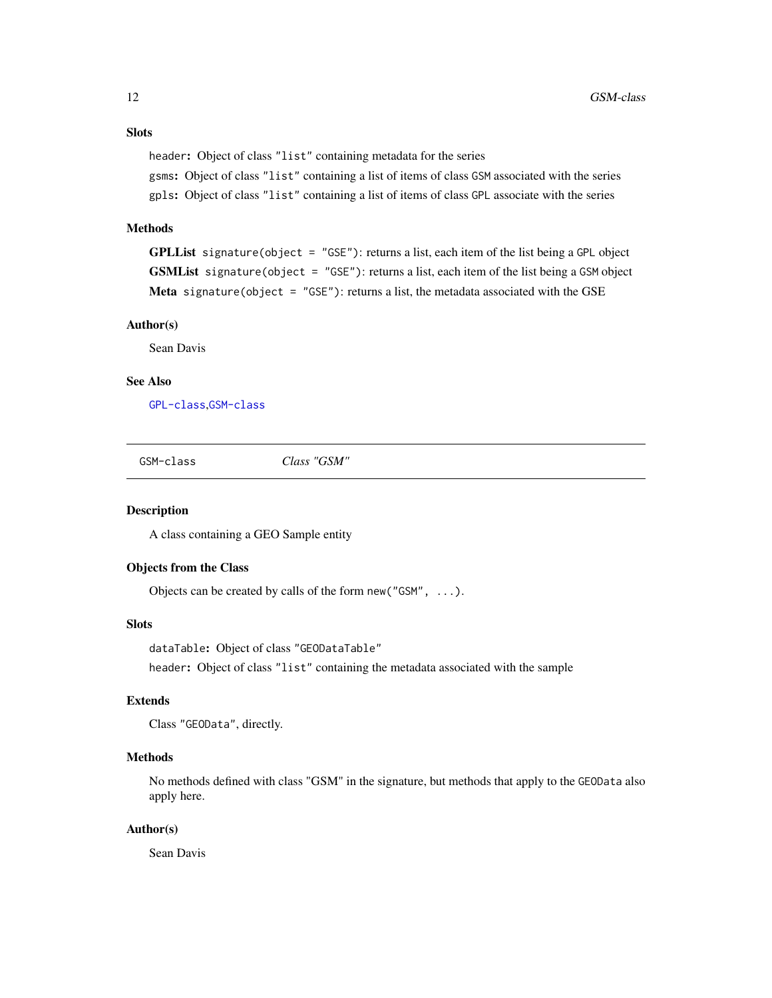#### <span id="page-11-0"></span>Slots

header: Object of class "list" containing metadata for the series

gsms: Object of class "list" containing a list of items of class GSM associated with the series gpls: Object of class "list" containing a list of items of class GPL associate with the series

#### Methods

**GPLList** signature(object = "GSE"): returns a list, each item of the list being a GPL object GSMList signature(object = "GSE"): returns a list, each item of the list being a GSM object Meta signature(object = "GSE"): returns a list, the metadata associated with the GSE

#### Author(s)

Sean Davis

#### See Also

[GPL-class](#page-10-1),[GSM-class](#page-11-1)

<span id="page-11-1"></span>GSM-class *Class "GSM"*

#### Description

A class containing a GEO Sample entity

#### Objects from the Class

Objects can be created by calls of the form new("GSM", ...).

#### Slots

dataTable: Object of class "GEODataTable" header: Object of class "list" containing the metadata associated with the sample

#### Extends

```
Class "GEOData", directly.
```
#### Methods

No methods defined with class "GSM" in the signature, but methods that apply to the GEOData also apply here.

#### Author(s)

Sean Davis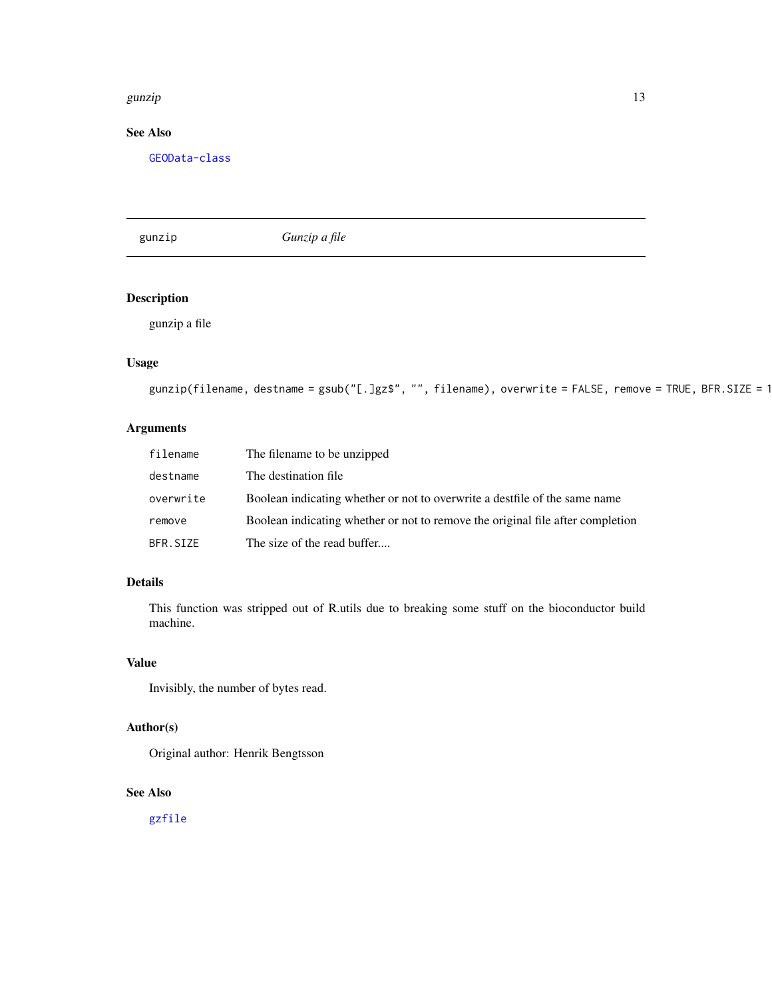#### <span id="page-12-0"></span>gunzip and the set of the set of the set of the set of the set of the set of the set of the set of the set of the set of the set of the set of the set of the set of the set of the set of the set of the set of the set of th

### See Also

[GEOData-class](#page-3-1)

gunzip *Gunzip a file*

#### Description

gunzip a file

#### Usage

```
gunzip(filename, destname = gsub("[.]gz$", "", filename), overwrite = FALSE, remove = TRUE, BFR.SIZE = 1
```
#### Arguments

| filename  | The filename to be unzipped                                                    |
|-----------|--------------------------------------------------------------------------------|
| destname  | The destination file.                                                          |
| overwrite | Boolean indicating whether or not to overwrite a destifile of the same name    |
| remove    | Boolean indicating whether or not to remove the original file after completion |
| BFR.SIZE  | The size of the read buffer                                                    |

#### Details

This function was stripped out of R.utils due to breaking some stuff on the bioconductor build machine.

#### Value

Invisibly, the number of bytes read.

#### Author(s)

Original author: Henrik Bengtsson

#### See Also

[gzfile](#page-0-0)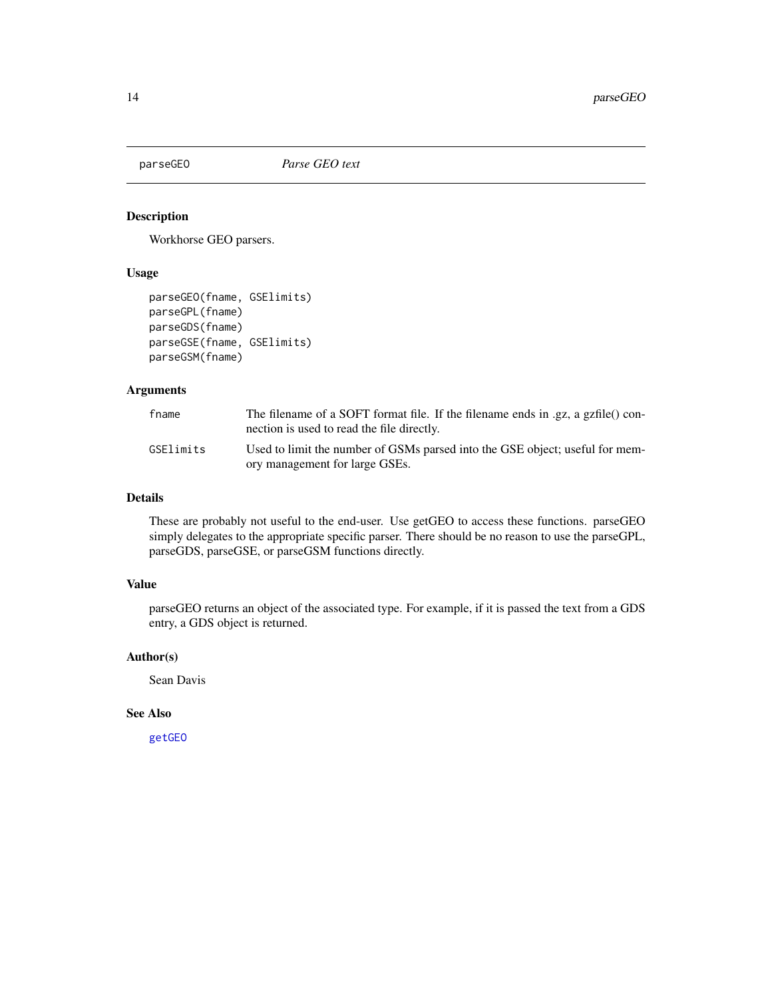<span id="page-13-0"></span>

Workhorse GEO parsers.

#### Usage

```
parseGEO(fname, GSElimits)
parseGPL(fname)
parseGDS(fname)
parseGSE(fname, GSElimits)
parseGSM(fname)
```
#### Arguments

| fname     | The filename of a SOFT format file. If the filename ends in .gz, a gzfile() con-<br>nection is used to read the file directly. |
|-----------|--------------------------------------------------------------------------------------------------------------------------------|
| GSElimits | Used to limit the number of GSMs parsed into the GSE object; useful for mem-<br>ory management for large GSEs.                 |

#### Details

These are probably not useful to the end-user. Use getGEO to access these functions. parseGEO simply delegates to the appropriate specific parser. There should be no reason to use the parseGPL, parseGDS, parseGSE, or parseGSM functions directly.

#### Value

parseGEO returns an object of the associated type. For example, if it is passed the text from a GDS entry, a GDS object is returned.

#### Author(s)

Sean Davis

#### See Also

[getGEO](#page-4-2)